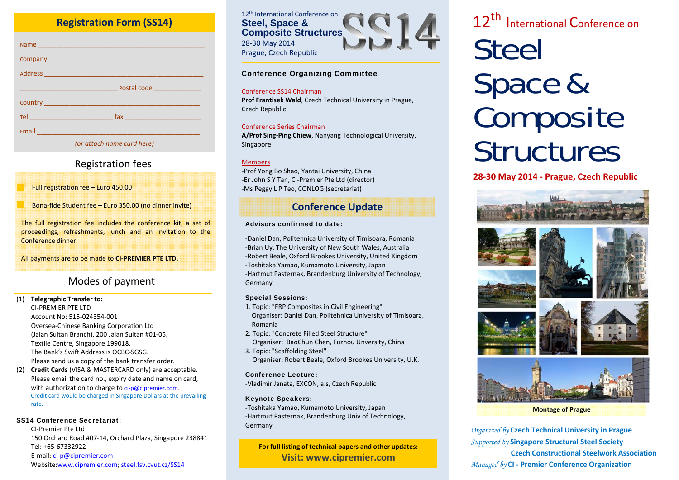# **Registration Form (SS14)**

| Email 2008 2010 12:00 12:00 12:00 12:00 12:00 12:00 12:00 12:00 12:00 12:00 12:00 12:00 12:00 12:00 12:00 12:0 |
|----------------------------------------------------------------------------------------------------------------|
| (or attach name card here)                                                                                     |

# Re gistration fees

Full registration fee – Euro 450.00

Bona‐fide Student fee – Euro 350.00 (no dinner invite)

The full registration fee includes the conference kit, <sup>a</sup> set of proceedings, refreshments, lunch and an invitation to the Conference dinner.

All payments are to be made to **CI‐PREMIER PTE LTD.**

# Modes of payment

#### (1) **Telegraphic Transfer to:** CI‐PREMIER PTE LTD Account No: 515‐024354‐001

Oversea‐Chinese Banking Corporation Ltd (Jalan Sultan Branch), 200 Jalan Sultan #01‐05, Textile Centre, Singapore 199018. The Bank's Swift Address is OCBC‐SGSG. Please send us <sup>a</sup> copy of the bank transfer order.

(2) **Credit Cards** (VISA & MASTERCARD only) are acceptable. Please email the card no., expiry date and name on card, with authorization to charge to ci-p@cipremier.com. Credit card would be charged in Singapore Dollars at the prevailing rate.

#### SS14 Conference Secretariat:

CI‐Premier Pte Ltd150 Orchard Road #07‐14, Orchard Plaza, Singapore 238841 Tel: +65‐67332922E-mail: ci-p@cipremier.com Website:www.cipremier.com; steel.fsv.cvut.cz/SS14



#### Conference Organizing Committee

#### Conference SS14 Chairman

**Prof Frantisek Wald**, Czech Technical University in Prague, Czech Republic

#### Conference Series Chairman

**A/Prof Sing‐Ping Chiew**, Nanyang Technological University, Singapore

#### Members

‐Prof Yong Bo Shao, Yantai University, China ‐Er John S Y Tan, CI‐Premier Pte Ltd (director) ‐Ms Peggy L P Teo, CONLOG (secretariat)

# **Conference Update**

#### Advisors confirmed to date:

‐Daniel Dan, Politehnica University of Timisoara, Romania ‐Brian Uy, The University of New South Wales, Australia ‐Robert Beale, Oxford Brookes University, United Kingdom ‐Toshitaka Yamao, Kumamoto University, Japan ‐Hartmut Pasternak, Brandenburg University of Technology, Germany

#### Special Sessions:

- 1. Topic: "FRP Composites in Civil Engineering" Organiser: Daniel Dan, Politehnica University of Timisoara, Romania
- 2. Topic: "Concrete Filled Steel Structure" Organiser: BaoChun Chen, Fuzhou Unversity, China
- 3. Topic: "Scaffolding Steel" Organiser: Robert Beale, Oxford Brookes University, U.K.

#### Conference Lecture:

‐Vladimír Janata, EXCON, a.s, Czech Republic

#### Keynote Speakers:

‐Toshitaka Yamao, Kumamoto University, Japan ‐Hartmut Pasternak, Brandenburg Univ of Technology, Germany

**For full listing of technical papers and other updates: Visit: www.cipremier.com**

# 12<sup>th</sup> International Conference on<br>CLOCL **Steel** Space & Composite **Structures**

## **28‐30 May 2014 ‐ Prague, Czech Republic**



*Organized by* **Czech Technical University in Prague** *Supported by* **Singapore Structural Steel Society Czech Constructional Steelwork Association** *Managed by* **CI ‐ Premier Conference Organization**